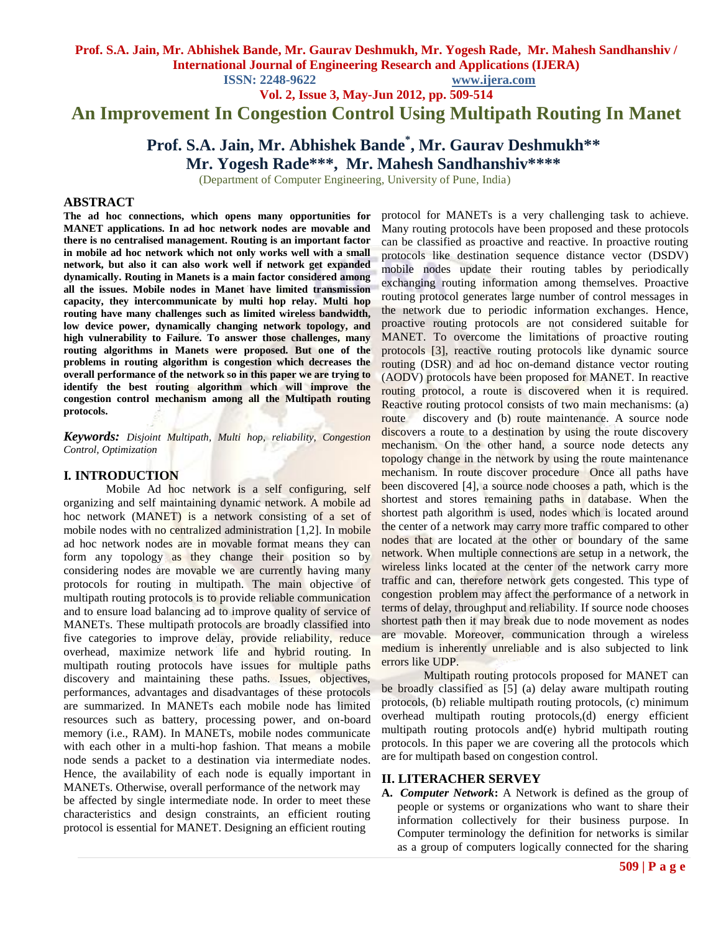**ISSN: 2248-9622 www.ijera.com**

**Vol. 2, Issue 3, May-Jun 2012, pp. 509-514**

**An Improvement In Congestion Control Using Multipath Routing In Manet**

# **Prof. S.A. Jain, Mr. Abhishek Bande\* , Mr. Gaurav Deshmukh\*\* Mr. Yogesh Rade\*\*\*, Mr. Mahesh Sandhanshiv\*\*\*\***

(Department of Computer Engineering, University of Pune, India)

#### **ABSTRACT**

**The ad hoc connections, which opens many opportunities for MANET applications. In ad hoc network nodes are movable and there is no centralised management. Routing is an important factor in mobile ad hoc network which not only works well with a small network, but also it can also work well if network get expanded dynamically. Routing in Manets is a main factor considered among all the issues. Mobile nodes in Manet have limited transmission capacity, they intercommunicate by multi hop relay. Multi hop routing have many challenges such as limited wireless bandwidth, low device power, dynamically changing network topology, and high vulnerability to Failure. To answer those challenges, many routing algorithms in Manets were proposed. But one of the problems in routing algorithm is congestion which decreases the overall performance of the network so in this paper we are trying to identify the best routing algorithm which will improve the congestion control mechanism among all the Multipath routing protocols.**

*Keywords: Disjoint Multipath, Multi hop, reliability, Congestion Control, Optimization* 

#### **I***.* **INTRODUCTION**

Mobile Ad hoc network is a self configuring, self organizing and self maintaining dynamic network. A mobile ad hoc network (MANET) is a network consisting of a set of mobile nodes with no centralized administration [1,2]. In mobile ad hoc network nodes are in movable format means they can form any topology as they change their position so by considering nodes are movable we are currently having many protocols for routing in multipath. The main objective of multipath routing protocols is to provide reliable communication and to ensure load balancing ad to improve quality of service of MANETs. These multipath protocols are broadly classified into five categories to improve delay, provide reliability, reduce overhead, maximize network life and hybrid routing. In multipath routing protocols have issues for multiple paths discovery and maintaining these paths. Issues, objectives, performances, advantages and disadvantages of these protocols are summarized. In MANETs each mobile node has limited resources such as battery, processing power, and on-board memory (i.e., RAM). In MANETs, mobile nodes communicate with each other in a multi-hop fashion. That means a mobile node sends a packet to a destination via intermediate nodes. Hence, the availability of each node is equally important in MANETs. Otherwise, overall performance of the network may be affected by single intermediate node. In order to meet these characteristics and design constraints, an efficient routing protocol is essential for MANET. Designing an efficient routing

protocol for MANETs is a very challenging task to achieve. Many routing protocols have been proposed and these protocols can be classified as proactive and reactive. In proactive routing protocols like destination sequence distance vector (DSDV) mobile nodes update their routing tables by periodically exchanging routing information among themselves. Proactive routing protocol generates large number of control messages in the network due to periodic information exchanges. Hence, proactive routing protocols are not considered suitable for MANET. To overcome the limitations of proactive routing protocols [3], reactive routing protocols like dynamic source routing (DSR) and ad hoc on-demand distance vector routing (AODV) protocols have been proposed for MANET. In reactive routing protocol, a route is discovered when it is required. Reactive routing protocol consists of two main mechanisms: (a) route discovery and (b) route maintenance. A source node discovers a route to a destination by using the route discovery mechanism. On the other hand, a source node detects any topology change in the network by using the route maintenance mechanism. In route discover procedure Once all paths have been discovered [4], a source node chooses a path, which is the shortest and stores remaining paths in database. When the shortest path algorithm is used, nodes which is located around the center of a network may carry more traffic compared to other nodes that are located at the other or boundary of the same network. When multiple connections are setup in a network, the wireless links located at the center of the network carry more traffic and can, therefore network gets congested. This type of congestion problem may affect the performance of a network in terms of delay, throughput and reliability. If source node chooses shortest path then it may break due to node movement as nodes are movable. Moreover, communication through a wireless medium is inherently unreliable and is also subjected to link errors like UDP.

Multipath routing protocols proposed for MANET can be broadly classified as [5] (a) delay aware multipath routing protocols, (b) reliable multipath routing protocols, (c) minimum overhead multipath routing protocols,(d) energy efficient multipath routing protocols and(e) hybrid multipath routing protocols. In this paper we are covering all the protocols which are for multipath based on congestion control.

#### **II. LITERACHER SERVEY**

**A.** *Computer Network***:** A Network is defined as the group of people or systems or organizations who want to share their information collectively for their business purpose. In Computer terminology the definition for networks is similar as a group of computers logically connected for the sharing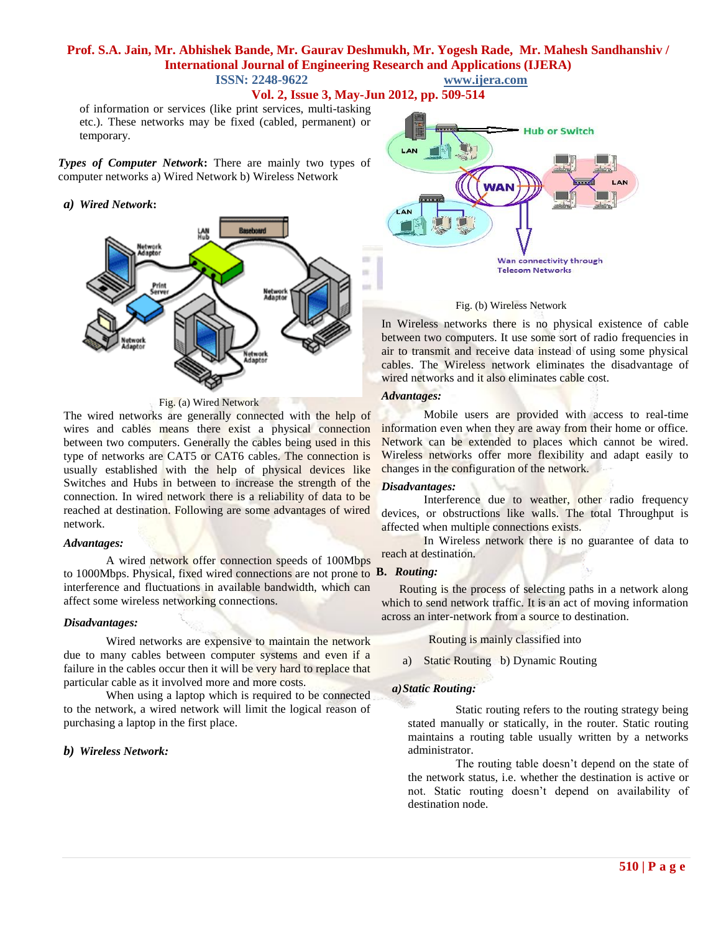**ISSN: 2248-9622 www.ijera.com**

**Vol. 2, Issue 3, May-Jun 2012, pp. 509-514**

of information or services (like print services, multi-tasking etc.). These networks may be fixed (cabled, permanent) or temporary.

*Types of Computer Network***:** There are mainly two types of computer networks a) Wired Network b) Wireless Network

# *a) Wired Network***:**



# Fig. (a) Wired Network

The wired networks are generally connected with the help of wires and cables means there exist a physical connection between two computers. Generally the cables being used in this type of networks are CAT5 or CAT6 cables. The connection is usually established with the help of physical devices like Switches and Hubs in between to increase the strength of the connection. In wired network there is a reliability of data to be reached at destination. Following are some advantages of wired network.

### *Advantages:*

A wired network offer connection speeds of 100Mbps to 1000Mbps. Physical, fixed wired connections are not prone to interference and fluctuations in available bandwidth, which can affect some wireless networking connections.

### *Disadvantages:*

Wired networks are expensive to maintain the network due to many cables between computer systems and even if a failure in the cables occur then it will be very hard to replace that particular cable as it involved more and more costs.

When using a laptop which is required to be connected to the network, a wired network will limit the logical reason of purchasing a laptop in the first place.

# *b) Wireless Network:*



### Fig. (b) Wireless Network

In Wireless networks there is no physical existence of cable between two computers. It use some sort of radio frequencies in air to transmit and receive data instead of using some physical cables. The Wireless network eliminates the disadvantage of wired networks and it also eliminates cable cost.

#### *Advantages:*

Mobile users are provided with access to real-time information even when they are away from their home or office. Network can be extended to places which cannot be wired. Wireless networks offer more flexibility and adapt easily to changes in the configuration of the network.

#### *Disadvantages:*

Interference due to weather, other radio frequency devices, or obstructions like walls. The total Throughput is affected when multiple connections exists.

In Wireless network there is no guarantee of data to reach at destination.

#### **B.** *Routing:*

 Routing is the process of selecting paths in a network along which to send network traffic. It is an act of moving information across an inter-network from a source to destination.

Routing is mainly classified into

a) Static Routing b) Dynamic Routing

#### *a)Static Routing:*

Static routing refers to the routing strategy being stated manually or statically, in the router. Static routing maintains a routing table usually written by a networks administrator.

The routing table doesn't depend on the state of the network status, i.e. whether the destination is active or not. Static routing doesn't depend on availability of destination node.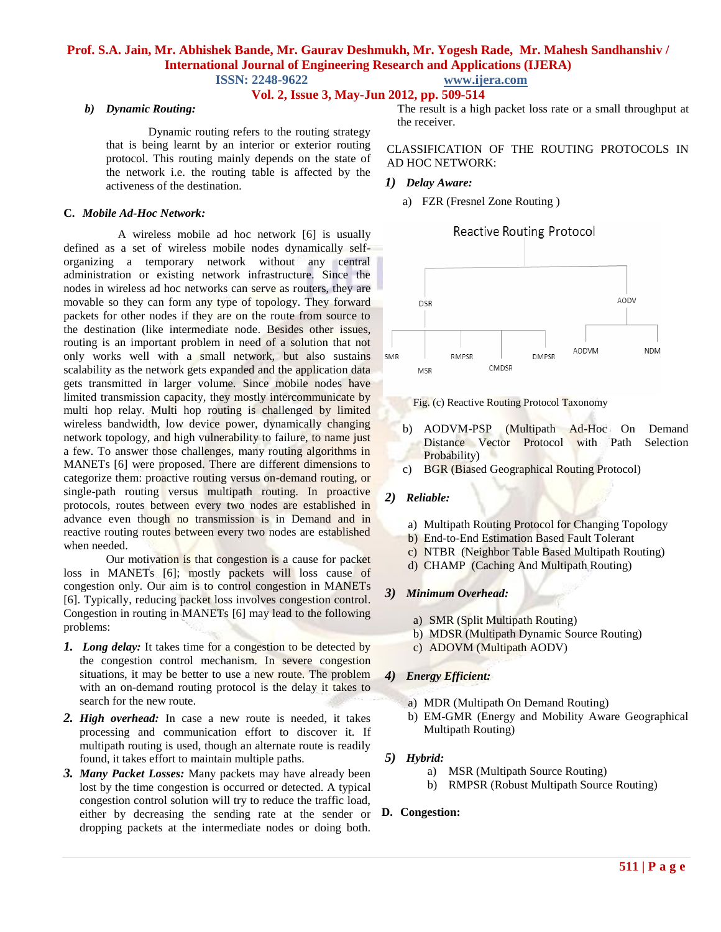**ISSN: 2248-9622 www.ijera.com**

# **Vol. 2, Issue 3, May-Jun 2012, pp. 509-514**

#### *b) Dynamic Routing:*

Dynamic routing refers to the routing strategy that is being learnt by an interior or exterior routing protocol. This routing mainly depends on the state of the network i.e. the routing table is affected by the activeness of the destination.

#### **C.** *Mobile Ad-Hoc Network:*

 A wireless mobile ad hoc network [6] is usually defined as a set of wireless mobile nodes dynamically selforganizing a temporary network without any central administration or existing network infrastructure. Since the nodes in wireless ad hoc networks can serve as routers, they are movable so they can form any type of topology. They forward packets for other nodes if they are on the route from source to the destination (like intermediate node. Besides other issues, routing is an important problem in need of a solution that not only works well with a small network, but also sustains scalability as the network gets expanded and the application data gets transmitted in larger volume. Since mobile nodes have limited transmission capacity, they mostly intercommunicate by multi hop relay. Multi hop routing is challenged by limited wireless bandwidth, low device power, dynamically changing network topology, and high vulnerability to failure, to name just a few. To answer those challenges, many routing algorithms in MANETs [6] were proposed. There are different dimensions to categorize them: proactive routing versus on-demand routing, or single-path routing versus multipath routing. In proactive protocols, routes between every two nodes are established in advance even though no transmission is in Demand and in reactive routing routes between every two nodes are established when needed.

Our motivation is that congestion is a cause for packet loss in MANETs [6]; mostly packets will loss cause of congestion only. Our aim is to control congestion in MANETs [6]. Typically, reducing packet loss involves congestion control. Congestion in routing in MANETs [6] may lead to the following problems:

- *1. Long delay:* It takes time for a congestion to be detected by the congestion control mechanism. In severe congestion situations, it may be better to use a new route. The problem with an on-demand routing protocol is the delay it takes to search for the new route.
- *2. High overhead:* In case a new route is needed, it takes processing and communication effort to discover it. If multipath routing is used, though an alternate route is readily found, it takes effort to maintain multiple paths.
- *3. Many Packet Losses:* Many packets may have already been lost by the time congestion is occurred or detected. A typical congestion control solution will try to reduce the traffic load, either by decreasing the sending rate at the sender or dropping packets at the intermediate nodes or doing both.

The result is a high packet loss rate or a small throughput at the receiver.

CLASSIFICATION OF THE ROUTING PROTOCOLS IN AD HOC NETWORK:

#### *1) Delay Aware:*

a) FZR (Fresnel Zone Routing )

#### **Reactive Routing Protocol**





- b) AODVM-PSP (Multipath Ad-Hoc On Demand Distance Vector Protocol with Path Selection Probability)
- c) BGR (Biased Geographical Routing Protocol)

#### *2) Reliable:*

- a) Multipath Routing Protocol for Changing Topology
- b) End-to-End Estimation Based Fault Tolerant
- c) NTBR (Neighbor Table Based Multipath Routing)
- d) CHAMP (Caching And Multipath Routing)
- *3) Minimum Overhead:*
	- a) SMR (Split Multipath Routing)
	- b) MDSR (Multipath Dynamic Source Routing)
	- c) ADOVM (Multipath AODV)

#### *4) Energy Efficient:*

- a) MDR (Multipath On Demand Routing)
- b) EM-GMR (Energy and Mobility Aware Geographical Multipath Routing)

#### *5) Hybrid:*

- a) MSR (Multipath Source Routing)
- b) RMPSR (Robust Multipath Source Routing)

#### **D. Congestion:**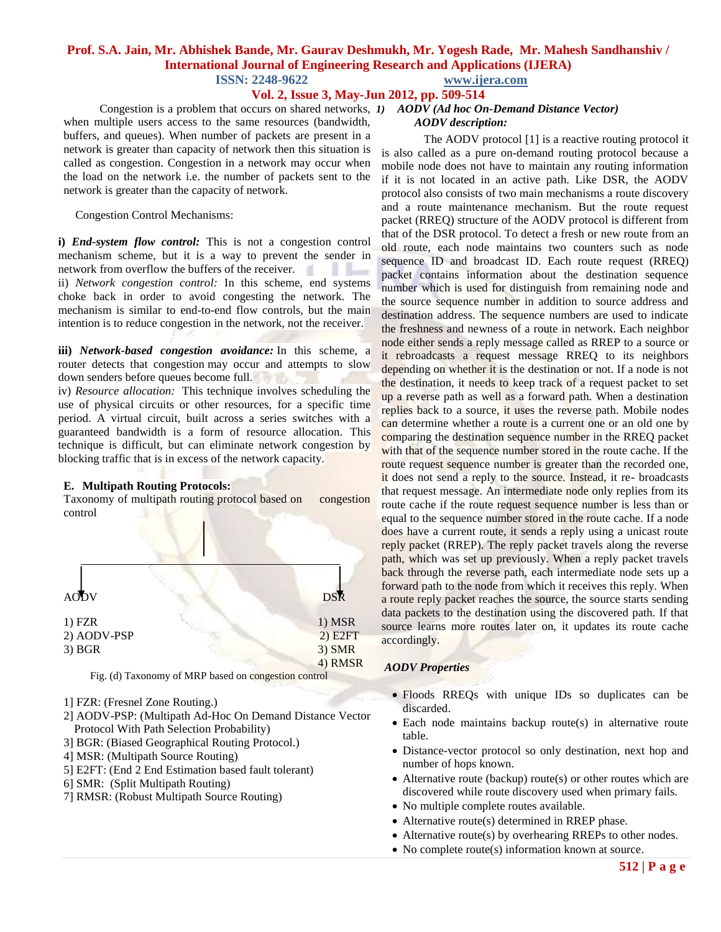**ISSN: 2248-9622 www.ijera.com**

#### **Vol. 2, Issue 3, May-Jun 2012, pp. 509-514**

 Congestion is a problem that occurs on shared networks, *1) AODV (Ad hoc On-Demand Distance Vector)* when multiple users access to the same resources (bandwidth, buffers, and queues). When number of packets are present in a network is greater than capacity of network then this situation is called as congestion. Congestion in a network may occur when the load on the network i.e. the number of packets sent to the network is greater than the capacity of network.

Congestion Control Mechanisms:

**i)** *End-system flow control:* This is not a congestion control mechanism scheme, but it is a way to prevent the sender in network from overflow the buffers of the receiver. ii) *Network congestion control:* In this scheme, end systems choke back in order to avoid congesting the network. The mechanism is similar to end-to-end flow controls, but the main intention is to reduce congestion in the network, not the receiver.

**iii)** *Network-based congestion avoidance:* In this scheme, a router detects that congestion may occur and attempts to slow down senders before queues become full.

iv) *Resource allocation:* This technique involves scheduling the use of physical circuits or other resources, for a specific time period. A virtual circuit, built across a series switches with a guaranteed bandwidth is a form of resource allocation. This technique is difficult, but can eliminate network congestion by blocking traffic that is in excess of the network capacity.

#### **E. Multipath Routing Protocols:**

Taxonomy of multipath routing protocol based on congestion control



Fig. (d) Taxonomy of MRP based on congestion control

- 1] FZR: (Fresnel Zone Routing.)
- 2] AODV-PSP: (Multipath Ad-Hoc On Demand Distance Vector Protocol With Path Selection Probability)
- 3] BGR: (Biased Geographical Routing Protocol.)
- 4] MSR: (Multipath Source Routing)
- 5] E2FT: (End 2 End Estimation based fault tolerant)
- 6] SMR: (Split Multipath Routing)
- 7] RMSR: (Robust Multipath Source Routing)

# *AODV description:*

The AODV protocol [1] is a reactive routing protocol it is also called as a pure on-demand routing protocol because a mobile node does not have to maintain any routing information if it is not located in an active path. Like DSR, the AODV protocol also consists of two main mechanisms a route discovery and a route maintenance mechanism. But the route request packet (RREQ) structure of the AODV protocol is different from that of the DSR protocol. To detect a fresh or new route from an old route, each node maintains two counters such as node sequence ID and broadcast ID. Each route request (RREQ) packet contains information about the destination sequence number which is used for distinguish from remaining node and the source sequence number in addition to source address and destination address. The sequence numbers are used to indicate the freshness and newness of a route in network. Each neighbor node either sends a reply message called as RREP to a source or it rebroadcasts a request message RREQ to its neighbors depending on whether it is the destination or not. If a node is not the destination, it needs to keep track of a request packet to set up a reverse path as well as a forward path. When a destination replies back to a source, it uses the reverse path. Mobile nodes can determine whether a route is a current one or an old one by comparing the destination sequence number in the RREQ packet with that of the sequence number stored in the route cache. If the route request sequence number is greater than the recorded one, it does not send a reply to the source. Instead, it re- broadcasts that request message. An intermediate node only replies from its route cache if the route request sequence number is less than or equal to the sequence number stored in the route cache. If a node does have a current route, it sends a reply using a unicast route reply packet (RREP). The reply packet travels along the reverse path, which was set up previously. When a reply packet travels back through the reverse path, each intermediate node sets up a forward path to the node from which it receives this reply. When a route reply packet reaches the source, the source starts sending data packets to the destination using the discovered path. If that source learns more routes later on, it updates its route cache accordingly.

#### *AODV Properties*

- Floods RREQs with unique IDs so duplicates can be discarded.
- Each node maintains backup route(s) in alternative route table.
- Distance-vector protocol so only destination, next hop and number of hops known.
- Alternative route (backup) route(s) or other routes which are discovered while route discovery used when primary fails.
- No multiple complete routes available.
- Alternative route(s) determined in RREP phase.
- Alternative route(s) by overhearing RREPs to other nodes.
- No complete route(s) information known at source.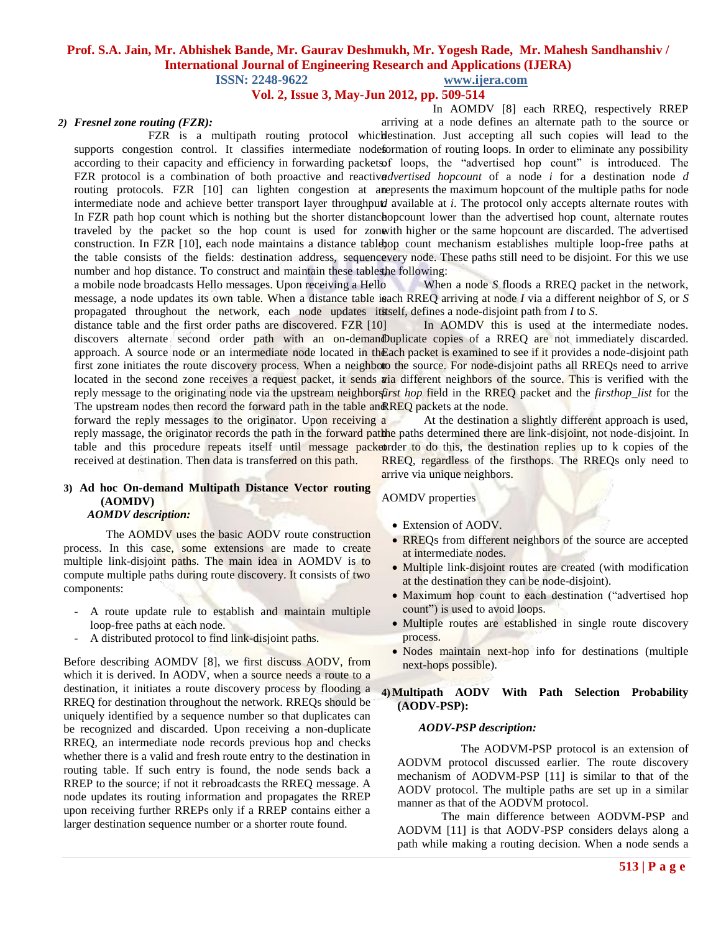**ISSN: 2248-9622 www.ijera.com**

**Vol. 2, Issue 3, May-Jun 2012, pp. 509-514**

#### *2) Fresnel zone routing (FZR):*

 In AOMDV [8] each RREQ, respectively RREP arriving at a node defines an alternate path to the source or

FZR is a multipath routing protocol which estination. Just accepting all such copies will lead to the supports congestion control. It classifies intermediate nodeformation of routing loops. In order to eliminate any possibility according to their capacity and efficiency in forwarding packets of loops, the "advertised hop count" is introduced. The FZR protocol is a combination of both proactive and reactived *vertised hopcount* of a node *i* for a destination node *d* routing protocols. FZR [10] can lighten congestion at an epresents the maximum hopcount of the multiple paths for node intermediate node and achieve better transport layer throughput available at *i*. The protocol only accepts alternate routes with In FZR path hop count which is nothing but the shorter distanchopcount lower than the advertised hop count, alternate routes traveled by the packet so the hop count is used for zone with higher or the same hopcount are discarded. The advertised construction. In FZR [10], each node maintains a distance table, open mechanism establishes multiple loop-free paths at the table consists of the fields: destination address, sequencevery node. These paths still need to be disjoint. For this we use number and hop distance. To construct and maintain these tables, he following:

a mobile node broadcasts Hello messages. Upon receiving a Hello message, a node updates its own table. When a distance table is ach RREQ arriving at node *I* via a different neighbor of *S*, or *S* propagated throughout the network, each node updates its self, defines a node-disjoint path from *I* to *S*. When a node *S* floods a RREQ packet in the network,

distance table and the first order paths are discovered. FZR [10] discovers alternate second order path with an on-demand Duplicate copies of a RREQ are not immediately discarded. approach. A source node or an intermediate node located in the ach packet is examined to see if it provides a node-disjoint path first zone initiates the route discovery process. When a neighboro the source. For node-disjoint paths all RREQs need to arrive located in the second zone receives a request packet, it sends vaia different neighbors of the source. This is verified with the reply message to the originating node via the upstream neighbors*first hop* field in the RREQ packet and the *firsthop\_list* for the The upstream nodes then record the forward path in the table and RREQ packets at the node. In AOMDV this is used at the intermediate nodes.

forward the reply messages to the originator. Upon receiving a reply massage, the originator records the path in the forward pathe paths determined there are link-disjoint, not node-disjoint. In table and this procedure repeats itself until message packet to do this, the destination replies up to k copies of the received at destination. Then data is transferred on this path. At the destination a slightly different approach is used, RREQ, regardless of the firsthops. The RREQs only need to arrive via unique neighbors.

# **3) Ad hoc On-demand Multipath Distance Vector routing (AOMDV)**

*AOMDV description:*

 The AOMDV uses the basic AODV route construction process. In this case, some extensions are made to create multiple link-disjoint paths. The main idea in AOMDV is to compute multiple paths during route discovery. It consists of two components:

- A route update rule to establish and maintain multiple loop-free paths at each node.
- A distributed protocol to find link-disjoint paths.

Before describing AOMDV [8], we first discuss AODV, from which it is derived. In AODV, when a source needs a route to a destination, it initiates a route discovery process by flooding a RREQ for destination throughout the network. RREQs should be uniquely identified by a sequence number so that duplicates can be recognized and discarded. Upon receiving a non-duplicate RREQ, an intermediate node records previous hop and checks whether there is a valid and fresh route entry to the destination in routing table. If such entry is found, the node sends back a RREP to the source; if not it rebroadcasts the RREQ message. A node updates its routing information and propagates the RREP upon receiving further RREPs only if a RREP contains either a larger destination sequence number or a shorter route found.

AOMDV properties

- Extension of AODV.
- RREQs from different neighbors of the source are accepted at intermediate nodes.
- Multiple link-disjoint routes are created (with modification at the destination they can be node-disjoint).
- Maximum hop count to each destination ("advertised hop count") is used to avoid loops.
- Multiple routes are established in single route discovery process.
- Nodes maintain next-hop info for destinations (multiple next-hops possible).

#### **4)Multipath AODV With Path Selection Probability (AODV-PSP):**

#### *AODV-PSP description:*

The AODVM-PSP protocol is an extension of AODVM protocol discussed earlier. The route discovery mechanism of AODVM-PSP [11] is similar to that of the AODV protocol. The multiple paths are set up in a similar manner as that of the AODVM protocol.

 The main difference between AODVM-PSP and AODVM [11] is that AODV-PSP considers delays along a path while making a routing decision. When a node sends a